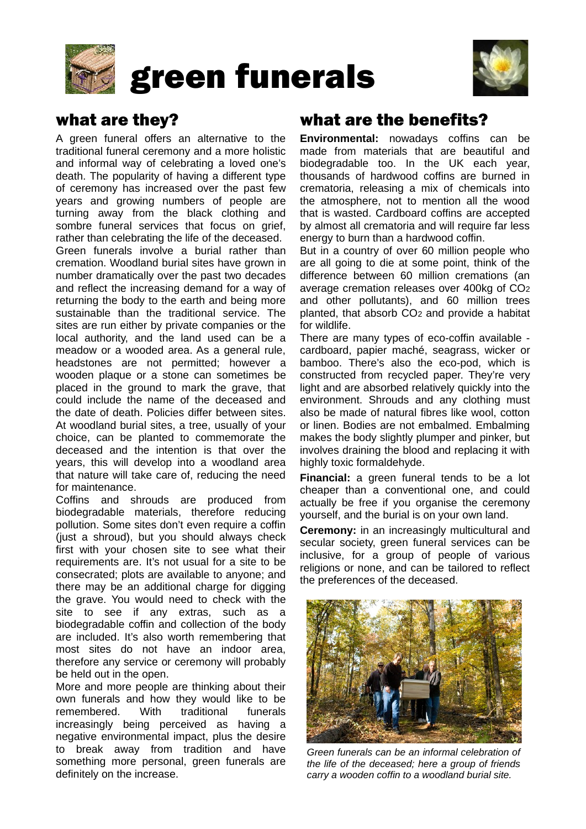

# green funerals



# what are they?

A green funeral offers an alternative to the traditional funeral ceremony and a more holistic and informal way of celebrating a loved one's death. The popularity of having a different type of ceremony has increased over the past few years and growing numbers of people are turning away from the black clothing and sombre funeral services that focus on grief, rather than celebrating the life of the deceased. Green funerals involve a burial rather than cremation. Woodland burial sites have grown in number dramatically over the past two decades and reflect the increasing demand for a way of returning the body to the earth and being more sustainable than the traditional service. The sites are run either by private companies or the local authority, and the land used can be a meadow or a wooded area. As a general rule, headstones are not permitted; however a wooden plaque or a stone can sometimes be placed in the ground to mark the grave, that could include the name of the deceased and the date of death. Policies differ between sites. At woodland burial sites, a tree, usually of your choice, can be planted to commemorate the deceased and the intention is that over the years, this will develop into a woodland area that nature will take care of, reducing the need for maintenance.

Coffins and shrouds are produced from biodegradable materials, therefore reducing pollution. Some sites don't even require a coffin (just a shroud), but you should always check first with your chosen site to see what their requirements are. It's not usual for a site to be consecrated; plots are available to anyone; and there may be an additional charge for digging the grave. You would need to check with the site to see if any extras, such as a biodegradable coffin and collection of the body are included. It's also worth remembering that most sites do not have an indoor area, therefore any service or ceremony will probably be held out in the open.

More and more people are thinking about their own funerals and how they would like to be remembered. With traditional funerals increasingly being perceived as having a negative environmental impact, plus the desire to break away from tradition and have something more personal, green funerals are definitely on the increase.

### what are the benefits?

**Environmental:** nowadays coffins can be made from materials that are beautiful and biodegradable too. In the UK each year, thousands of hardwood coffins are burned in crematoria, releasing a mix of chemicals into the atmosphere, not to mention all the wood that is wasted. Cardboard coffins are accepted by almost all crematoria and will require far less energy to burn than a hardwood coffin.

But in a country of over 60 million people who are all going to die at some point, think of the difference between 60 million cremations (an average cremation releases over 400kg of CO2 and other pollutants), and 60 million trees planted, that absorb CO2 and provide a habitat for wildlife.

There are many types of eco-coffin available cardboard, papier maché, seagrass, wicker or bamboo. There's also the eco-pod, which is constructed from recycled paper. They're very light and are absorbed relatively quickly into the environment. Shrouds and any clothing must also be made of natural fibres like wool, cotton or linen. Bodies are not embalmed. Embalming makes the body slightly plumper and pinker, but involves draining the blood and replacing it with highly toxic formaldehyde.

**Financial:** a green funeral tends to be a lot cheaper than a conventional one, and could actually be free if you organise the ceremony yourself, and the burial is on your own land.

**Ceremony:** in an increasingly multicultural and secular society, green funeral services can be inclusive, for a group of people of various religions or none, and can be tailored to reflect the preferences of the deceased.



*Green funerals can be an informal celebration of the life of the deceased; here a group of friends carry a wooden coffin to a woodland burial site.*